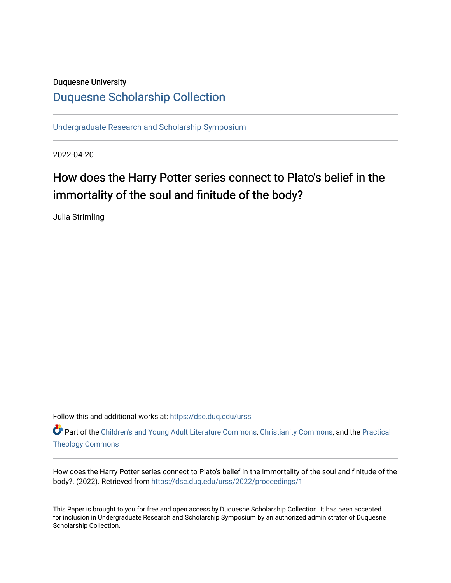# Duquesne University

# [Duquesne Scholarship Collection](https://dsc.duq.edu/)

[Undergraduate Research and Scholarship Symposium](https://dsc.duq.edu/urss)

2022-04-20

# How does the Harry Potter series connect to Plato's belief in the immortality of the soul and finitude of the body?

Julia Strimling

Follow this and additional works at: [https://dsc.duq.edu/urss](https://dsc.duq.edu/urss?utm_source=dsc.duq.edu%2Furss%2F2022%2Fproceedings%2F1&utm_medium=PDF&utm_campaign=PDFCoverPages)

Part of the [Children's and Young Adult Literature Commons,](https://network.bepress.com/hgg/discipline/1289?utm_source=dsc.duq.edu%2Furss%2F2022%2Fproceedings%2F1&utm_medium=PDF&utm_campaign=PDFCoverPages) [Christianity Commons,](https://network.bepress.com/hgg/discipline/1181?utm_source=dsc.duq.edu%2Furss%2F2022%2Fproceedings%2F1&utm_medium=PDF&utm_campaign=PDFCoverPages) and the [Practical](https://network.bepress.com/hgg/discipline/1186?utm_source=dsc.duq.edu%2Furss%2F2022%2Fproceedings%2F1&utm_medium=PDF&utm_campaign=PDFCoverPages)  [Theology Commons](https://network.bepress.com/hgg/discipline/1186?utm_source=dsc.duq.edu%2Furss%2F2022%2Fproceedings%2F1&utm_medium=PDF&utm_campaign=PDFCoverPages) 

How does the Harry Potter series connect to Plato's belief in the immortality of the soul and finitude of the body?. (2022). Retrieved from [https://dsc.duq.edu/urss/2022/proceedings/1](https://dsc.duq.edu/urss/2022/proceedings/1?utm_source=dsc.duq.edu%2Furss%2F2022%2Fproceedings%2F1&utm_medium=PDF&utm_campaign=PDFCoverPages)

This Paper is brought to you for free and open access by Duquesne Scholarship Collection. It has been accepted for inclusion in Undergraduate Research and Scholarship Symposium by an authorized administrator of Duquesne Scholarship Collection.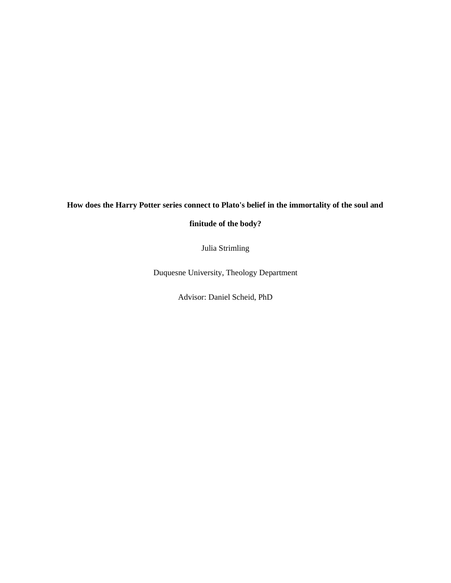# **How does the Harry Potter series connect to Plato's belief in the immortality of the soul and**

**finitude of the body?**

Julia Strimling

Duquesne University, Theology Department

Advisor: Daniel Scheid, PhD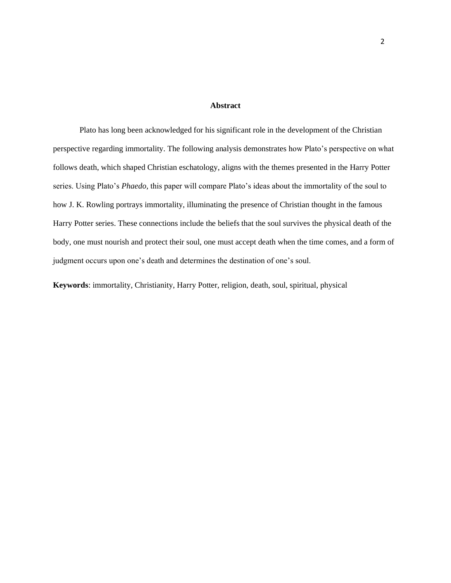## **Abstract**

Plato has long been acknowledged for his significant role in the development of the Christian perspective regarding immortality. The following analysis demonstrates how Plato's perspective on what follows death, which shaped Christian eschatology, aligns with the themes presented in the Harry Potter series. Using Plato's *Phaedo,* this paper will compare Plato's ideas about the immortality of the soul to how J. K. Rowling portrays immortality, illuminating the presence of Christian thought in the famous Harry Potter series. These connections include the beliefs that the soul survives the physical death of the body, one must nourish and protect their soul, one must accept death when the time comes, and a form of judgment occurs upon one's death and determines the destination of one's soul.

**Keywords**: immortality, Christianity, Harry Potter, religion, death, soul, spiritual, physical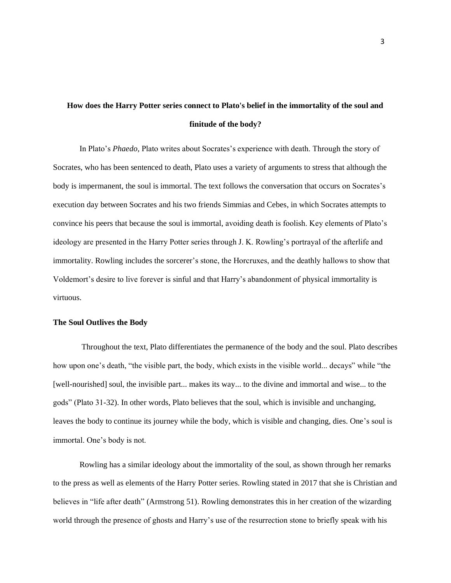# **How does the Harry Potter series connect to Plato's belief in the immortality of the soul and finitude of the body?**

In Plato's *Phaedo,* Plato writes about Socrates's experience with death. Through the story of Socrates, who has been sentenced to death, Plato uses a variety of arguments to stress that although the body is impermanent, the soul is immortal. The text follows the conversation that occurs on Socrates's execution day between Socrates and his two friends Simmias and Cebes, in which Socrates attempts to convince his peers that because the soul is immortal, avoiding death is foolish. Key elements of Plato's ideology are presented in the Harry Potter series through J. K. Rowling's portrayal of the afterlife and immortality. Rowling includes the sorcerer's stone, the Horcruxes, and the deathly hallows to show that Voldemort's desire to live forever is sinful and that Harry's abandonment of physical immortality is virtuous.

#### **The Soul Outlives the Body**

Throughout the text, Plato differentiates the permanence of the body and the soul. Plato describes how upon one's death, "the visible part, the body, which exists in the visible world... decays" while "the [well-nourished] soul, the invisible part... makes its way... to the divine and immortal and wise... to the gods" (Plato 31-32). In other words, Plato believes that the soul, which is invisible and unchanging, leaves the body to continue its journey while the body, which is visible and changing, dies. One's soul is immortal. One's body is not.

Rowling has a similar ideology about the immortality of the soul, as shown through her remarks to the press as well as elements of the Harry Potter series. Rowling stated in 2017 that she is Christian and believes in "life after death" (Armstrong 51). Rowling demonstrates this in her creation of the wizarding world through the presence of ghosts and Harry's use of the resurrection stone to briefly speak with his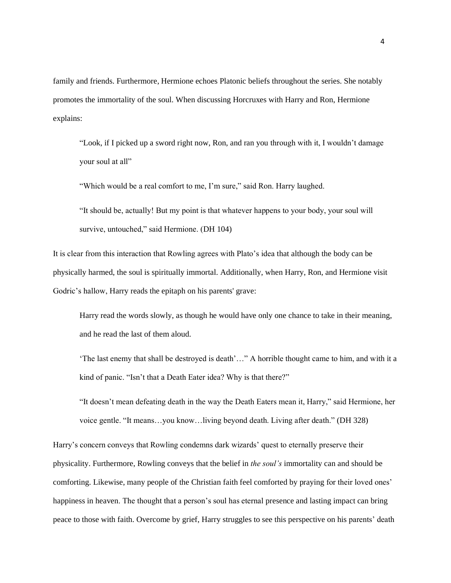family and friends. Furthermore, Hermione echoes Platonic beliefs throughout the series. She notably promotes the immortality of the soul. When discussing Horcruxes with Harry and Ron, Hermione explains:

"Look, if I picked up a sword right now, Ron, and ran you through with it, I wouldn't damage your soul at all"

"Which would be a real comfort to me, I'm sure," said Ron. Harry laughed.

"It should be, actually! But my point is that whatever happens to your body, your soul will survive, untouched," said Hermione. (DH 104)

It is clear from this interaction that Rowling agrees with Plato's idea that although the body can be physically harmed, the soul is spiritually immortal. Additionally, when Harry, Ron, and Hermione visit Godric's hallow, Harry reads the epitaph on his parents' grave:

Harry read the words slowly, as though he would have only one chance to take in their meaning, and he read the last of them aloud.

'The last enemy that shall be destroyed is death'…" A horrible thought came to him, and with it a kind of panic. "Isn't that a Death Eater idea? Why is that there?"

"It doesn't mean defeating death in the way the Death Eaters mean it, Harry," said Hermione, her voice gentle. "It means…you know…living beyond death. Living after death." (DH 328)

Harry's concern conveys that Rowling condemns dark wizards' quest to eternally preserve their physicality. Furthermore, Rowling conveys that the belief in *the soul's* immortality can and should be comforting. Likewise, many people of the Christian faith feel comforted by praying for their loved ones' happiness in heaven. The thought that a person's soul has eternal presence and lasting impact can bring peace to those with faith. Overcome by grief, Harry struggles to see this perspective on his parents' death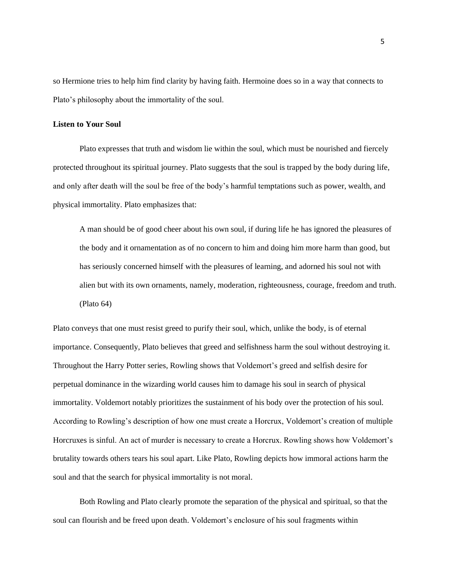so Hermione tries to help him find clarity by having faith. Hermoine does so in a way that connects to Plato's philosophy about the immortality of the soul.

## **Listen to Your Soul**

Plato expresses that truth and wisdom lie within the soul, which must be nourished and fiercely protected throughout its spiritual journey. Plato suggests that the soul is trapped by the body during life, and only after death will the soul be free of the body's harmful temptations such as power, wealth, and physical immortality. Plato emphasizes that:

A man should be of good cheer about his own soul, if during life he has ignored the pleasures of the body and it ornamentation as of no concern to him and doing him more harm than good, but has seriously concerned himself with the pleasures of learning, and adorned his soul not with alien but with its own ornaments, namely, moderation, righteousness, courage, freedom and truth. (Plato 64)

Plato conveys that one must resist greed to purify their soul, which, unlike the body, is of eternal importance. Consequently, Plato believes that greed and selfishness harm the soul without destroying it. Throughout the Harry Potter series, Rowling shows that Voldemort's greed and selfish desire for perpetual dominance in the wizarding world causes him to damage his soul in search of physical immortality. Voldemort notably prioritizes the sustainment of his body over the protection of his soul. According to Rowling's description of how one must create a Horcrux, Voldemort's creation of multiple Horcruxes is sinful. An act of murder is necessary to create a Horcrux. Rowling shows how Voldemort's brutality towards others tears his soul apart. Like Plato, Rowling depicts how immoral actions harm the soul and that the search for physical immortality is not moral.

Both Rowling and Plato clearly promote the separation of the physical and spiritual, so that the soul can flourish and be freed upon death. Voldemort's enclosure of his soul fragments within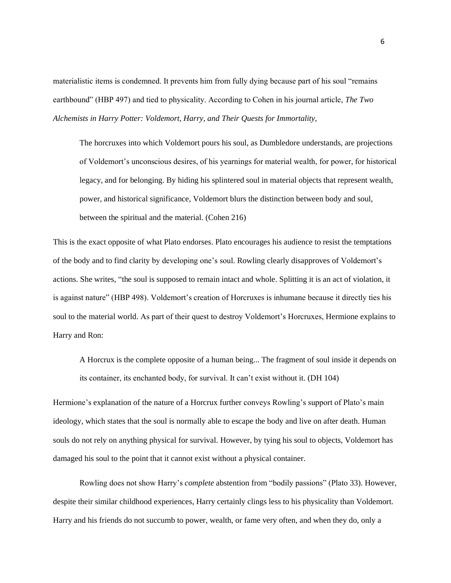materialistic items is condemned. It prevents him from fully dying because part of his soul "remains earthbound" (HBP 497) and tied to physicality. According to Cohen in his journal article, *The Two Alchemists in Harry Potter: Voldemort, Harry, and Their Quests for Immortality,* 

The horcruxes into which Voldemort pours his soul, as Dumbledore understands, are projections of Voldemort's unconscious desires, of his yearnings for material wealth, for power, for historical legacy, and for belonging. By hiding his splintered soul in material objects that represent wealth, power, and historical significance, Voldemort blurs the distinction between body and soul, between the spiritual and the material. (Cohen 216)

This is the exact opposite of what Plato endorses. Plato encourages his audience to resist the temptations of the body and to find clarity by developing one's soul. Rowling clearly disapproves of Voldemort's actions. She writes, "the soul is supposed to remain intact and whole. Splitting it is an act of violation, it is against nature" (HBP 498). Voldemort's creation of Horcruxes is inhumane because it directly ties his soul to the material world. As part of their quest to destroy Voldemort's Horcruxes, Hermione explains to Harry and Ron:

A Horcrux is the complete opposite of a human being... The fragment of soul inside it depends on its container, its enchanted body, for survival. It can't exist without it. (DH 104)

Hermione's explanation of the nature of a Horcrux further conveys Rowling's support of Plato's main ideology, which states that the soul is normally able to escape the body and live on after death. Human souls do not rely on anything physical for survival. However, by tying his soul to objects, Voldemort has damaged his soul to the point that it cannot exist without a physical container.

Rowling does not show Harry's *complete* abstention from "bodily passions" (Plato 33). However, despite their similar childhood experiences, Harry certainly clings less to his physicality than Voldemort. Harry and his friends do not succumb to power, wealth, or fame very often, and when they do, only a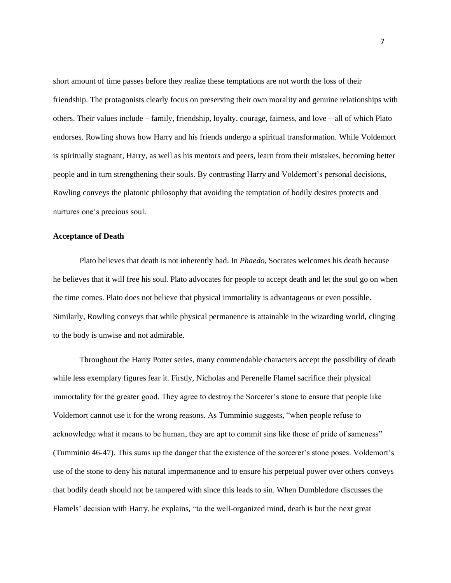short amount of time passes before they realize these temptations are not worth the loss of their friendship. The protagonists clearly focus on preserving their own morality and genuine relationships with others. Their values include – family, friendship, loyalty, courage, fairness, and love – all of which Plato endorses. Rowling shows how Harry and his friends undergo a spiritual transformation. While Voldemort is spiritually stagnant, Harry, as well as his mentors and peers, learn from their mistakes, becoming better people and in turn strengthening their souls. By contrasting Harry and Voldemort's personal decisions, Rowling conveys the platonic philosophy that avoiding the temptation of bodily desires protects and nurtures one's precious soul.

### **Acceptance of Death**

Plato believes that death is not inherently bad. In *Phaedo*, Socrates welcomes his death because he believes that it will free his soul. Plato advocates for people to accept death and let the soul go on when the time comes. Plato does not believe that physical immortality is advantageous or even possible. Similarly, Rowling conveys that while physical permanence is attainable in the wizarding world, clinging to the body is unwise and not admirable.

Throughout the Harry Potter series, many commendable characters accept the possibility of death while less exemplary figures fear it. Firstly, Nicholas and Perenelle Flamel sacrifice their physical immortality for the greater good. They agree to destroy the Sorcerer's stone to ensure that people like Voldemort cannot use it for the wrong reasons. As Tumminio suggests, "when people refuse to acknowledge what it means to be human, they are apt to commit sins like those of pride of sameness" (Tumminio 46-47). This sums up the danger that the existence of the sorcerer's stone poses. Voldemort's use of the stone to deny his natural impermanence and to ensure his perpetual power over others conveys that bodily death should not be tampered with since this leads to sin. When Dumbledore discusses the Flamels' decision with Harry, he explains, "to the well-organized mind, death is but the next great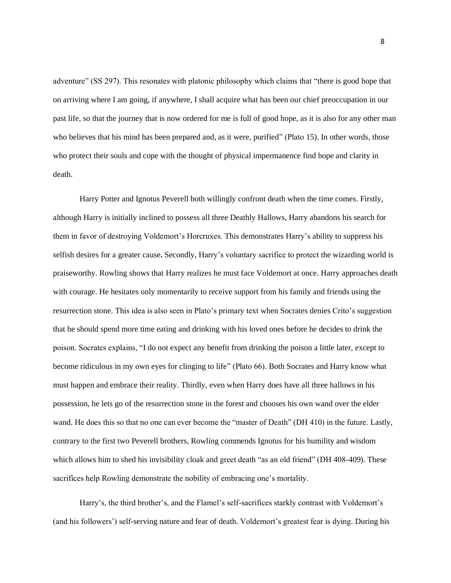adventure" (SS 297). This resonates with platonic philosophy which claims that "there is good hope that on arriving where I am going, if anywhere, I shall acquire what has been our chief preoccupation in our past life, so that the journey that is now ordered for me is full of good hope, as it is also for any other man who believes that his mind has been prepared and, as it were, purified" (Plato 15). In other words, those who protect their souls and cope with the thought of physical impermanence find hope and clarity in death.

Harry Potter and Ignotus Peverell both willingly confront death when the time comes. Firstly, although Harry is initially inclined to possess all three Deathly Hallows, Harry abandons his search for them in favor of destroying Voldemort's Horcruxes. This demonstrates Harry's ability to suppress his selfish desires for a greater cause**.** Secondly, Harry's voluntary sacrifice to protect the wizarding world is praiseworthy. Rowling shows that Harry realizes he must face Voldemort at once. Harry approaches death with courage. He hesitates only momentarily to receive support from his family and friends using the resurrection stone. This idea is also seen in Plato's primary text when Socrates denies Crito's suggestion that he should spend more time eating and drinking with his loved ones before he decides to drink the poison. Socrates explains, "I do not expect any benefit from drinking the poison a little later, except to become ridiculous in my own eyes for clinging to life" (Plato 66). Both Socrates and Harry know what must happen and embrace their reality. Thirdly, even when Harry does have all three hallows in his possession, he lets go of the resurrection stone in the forest and chooses his own wand over the elder wand. He does this so that no one can ever become the "master of Death" (DH 410) in the future. Lastly, contrary to the first two Peverell brothers, Rowling commends Ignotus for his humility and wisdom which allows him to shed his invisibility cloak and greet death "as an old friend" (DH 408-409). These sacrifices help Rowling demonstrate the nobility of embracing one's mortality.

Harry's, the third brother's, and the Flamel's self-sacrifices starkly contrast with Voldemort's (and his followers') self-serving nature and fear of death. Voldemort's greatest fear is dying. During his

8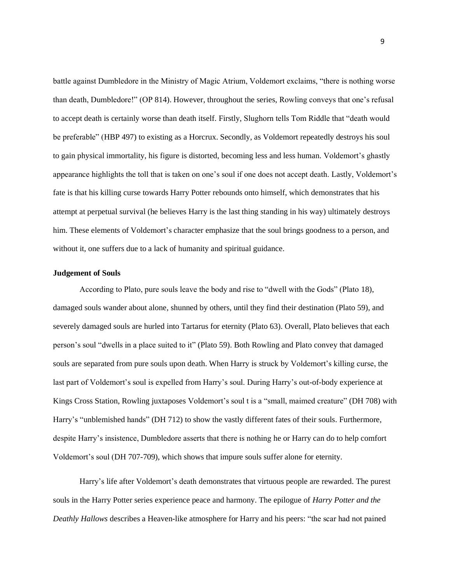battle against Dumbledore in the Ministry of Magic Atrium, Voldemort exclaims, "there is nothing worse than death, Dumbledore!" (OP 814). However, throughout the series, Rowling conveys that one's refusal to accept death is certainly worse than death itself. Firstly, Slughorn tells Tom Riddle that "death would be preferable" (HBP 497) to existing as a Horcrux. Secondly, as Voldemort repeatedly destroys his soul to gain physical immortality, his figure is distorted, becoming less and less human. Voldemort's ghastly appearance highlights the toll that is taken on one's soul if one does not accept death. Lastly, Voldemort's fate is that his killing curse towards Harry Potter rebounds onto himself, which demonstrates that his attempt at perpetual survival (he believes Harry is the last thing standing in his way) ultimately destroys him. These elements of Voldemort's character emphasize that the soul brings goodness to a person, and without it, one suffers due to a lack of humanity and spiritual guidance.

### **Judgement of Souls**

According to Plato, pure souls leave the body and rise to "dwell with the Gods" (Plato 18), damaged souls wander about alone, shunned by others, until they find their destination (Plato 59), and severely damaged souls are hurled into Tartarus for eternity (Plato 63). Overall, Plato believes that each person's soul "dwells in a place suited to it" (Plato 59). Both Rowling and Plato convey that damaged souls are separated from pure souls upon death. When Harry is struck by Voldemort's killing curse, the last part of Voldemort's soul is expelled from Harry's soul. During Harry's out-of-body experience at Kings Cross Station, Rowling juxtaposes Voldemort's soul t is a "small, maimed creature" (DH 708) with Harry's "unblemished hands" (DH 712) to show the vastly different fates of their souls. Furthermore, despite Harry's insistence, Dumbledore asserts that there is nothing he or Harry can do to help comfort Voldemort's soul (DH 707-709), which shows that impure souls suffer alone for eternity.

Harry's life after Voldemort's death demonstrates that virtuous people are rewarded. The purest souls in the Harry Potter series experience peace and harmony. The epilogue of *Harry Potter and the Deathly Hallows* describes a Heaven-like atmosphere for Harry and his peers: "the scar had not pained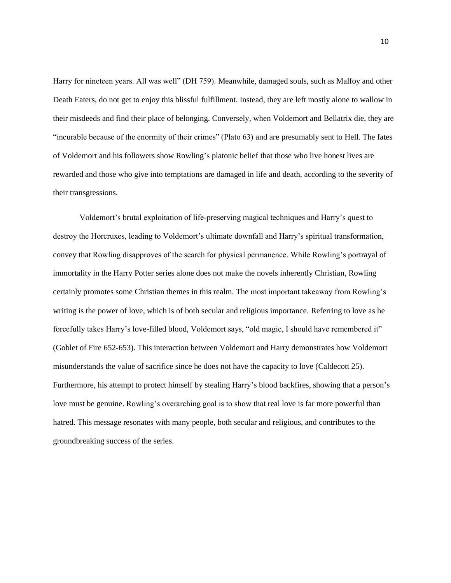Harry for nineteen years. All was well" (DH 759). Meanwhile, damaged souls, such as Malfoy and other Death Eaters, do not get to enjoy this blissful fulfillment. Instead, they are left mostly alone to wallow in their misdeeds and find their place of belonging. Conversely, when Voldemort and Bellatrix die, they are "incurable because of the enormity of their crimes" (Plato 63) and are presumably sent to Hell. The fates of Voldemort and his followers show Rowling's platonic belief that those who live honest lives are rewarded and those who give into temptations are damaged in life and death, according to the severity of their transgressions.

Voldemort's brutal exploitation of life-preserving magical techniques and Harry's quest to destroy the Horcruxes, leading to Voldemort's ultimate downfall and Harry's spiritual transformation, convey that Rowling disapproves of the search for physical permanence. While Rowling's portrayal of immortality in the Harry Potter series alone does not make the novels inherently Christian, Rowling certainly promotes some Christian themes in this realm. The most important takeaway from Rowling's writing is the power of love, which is of both secular and religious importance. Referring to love as he forcefully takes Harry's love-filled blood, Voldemort says, "old magic, I should have remembered it" (Goblet of Fire 652-653). This interaction between Voldemort and Harry demonstrates how Voldemort misunderstands the value of sacrifice since he does not have the capacity to love (Caldecott 25). Furthermore, his attempt to protect himself by stealing Harry's blood backfires, showing that a person's love must be genuine. Rowling's overarching goal is to show that real love is far more powerful than hatred. This message resonates with many people, both secular and religious, and contributes to the groundbreaking success of the series.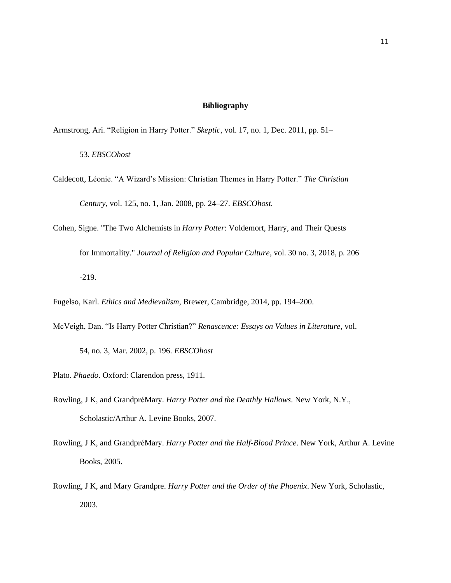## **Bibliography**

- Armstrong, Ari. "Religion in Harry Potter." *Skeptic*, vol. 17, no. 1, Dec. 2011, pp. 51–
	- 53. *EBSCOhost*
- Caldecott, Léonie. "A Wizard's Mission: Christian Themes in Harry Potter." *The Christian Century*, vol. 125, no. 1, Jan. 2008, pp. 24–27. *EBSCOhost.*
- Cohen, Signe. "The Two Alchemists in *Harry Potter*: Voldemort, Harry, and Their Quests for Immortality." *Journal of Religion and Popular Culture*, vol. 30 no. 3, 2018, p. 206 -219.
- Fugelso, Karl. *Ethics and Medievalism*, Brewer, Cambridge, 2014, pp. 194–200.
- McVeigh, Dan. "Is Harry Potter Christian?" *Renascence: Essays on Values in Literature*, vol.
	- 54, no. 3, Mar. 2002, p. 196. *EBSCOhost*
- Plato. *Phaedo*. Oxford: Clarendon press, 1911.
- Rowling, J K, and GrandpréMary. *Harry Potter and the Deathly Hallows*. New York, N.Y., Scholastic/Arthur A. Levine Books, 2007.
- Rowling, J K, and GrandpréMary. *Harry Potter and the Half-Blood Prince*. New York, Arthur A. Levine Books, 2005.
- Rowling, J K, and Mary Grandpre. *Harry Potter and the Order of the Phoenix*. New York, Scholastic, 2003.